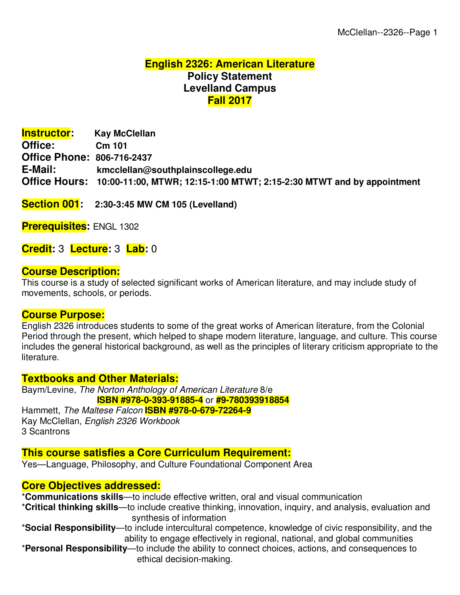# **English 2326: American Literature Policy Statement Levelland Campus Fall 2017**

**Instructor: Kay McClellan Office: Cm 101 Office Phone: 806-716-2437 E-Mail: kmcclellan@southplainscollege.edu Office Hours: 10:00-11:00, MTWR; 12:15-1:00 MTWT; 2:15-2:30 MTWT and by appointment**

**Section 001: 2:30-3:45 MW CM 105 (Levelland)**

**Prerequisites:** ENGL 1302

**Credit:** 3 **Lecture:** 3 **Lab:** 0

#### **Course Description:**

This course is a study of selected significant works of American literature, and may include study of movements, schools, or periods.

#### **Course Purpose:**

English 2326 introduces students to some of the great works of American literature, from the Colonial Period through the present, which helped to shape modern literature, language, and culture. This course includes the general historical background, as well as the principles of literary criticism appropriate to the literature.

#### **Textbooks and Other Materials:**

Baym/Levine, The Norton Anthology of American Literature 8/e **ISBN #978-0-393-91885-4** or **#9-780393918854** Hammett, The Maltese Falcon **ISBN #978-0-679-72264-9** Kay McClellan, English 2326 Workbook 3 Scantrons

## **This course satisfies a Core Curriculum Requirement:**

Yes—Language, Philosophy, and Culture Foundational Component Area

## **Core Objectives addressed:**

\***Communications skills**—to include effective written, oral and visual communication

- \***Critical thinking skills**—to include creative thinking, innovation, inquiry, and analysis, evaluation and synthesis of information
- \***Social Responsibility**—to include intercultural competence, knowledge of civic responsibility, and the ability to engage effectively in regional, national, and global communities

\***Personal Responsibility**—to include the ability to connect choices, actions, and consequences to ethical decision-making.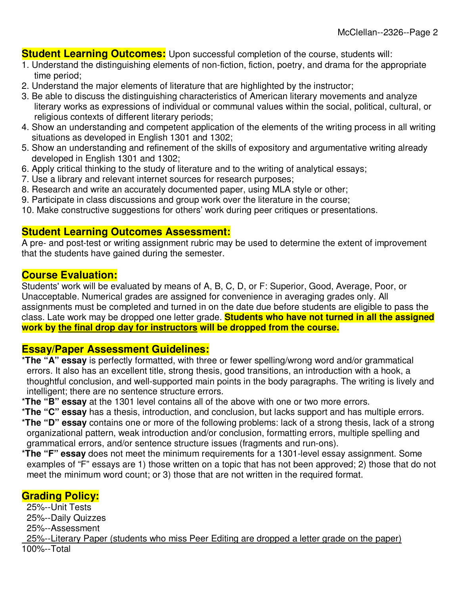**Student Learning Outcomes:** Upon successful completion of the course, students will:

- 1. Understand the distinguishing elements of non-fiction, fiction, poetry, and drama for the appropriate time period;
- 2. Understand the major elements of literature that are highlighted by the instructor;
- 3. Be able to discuss the distinguishing characteristics of American literary movements and analyze literary works as expressions of individual or communal values within the social, political, cultural, or religious contexts of different literary periods;
- 4. Show an understanding and competent application of the elements of the writing process in all writing situations as developed in English 1301 and 1302;
- 5. Show an understanding and refinement of the skills of expository and argumentative writing already developed in English 1301 and 1302;
- 6. Apply critical thinking to the study of literature and to the writing of analytical essays;
- 7. Use a library and relevant internet sources for research purposes;
- 8. Research and write an accurately documented paper, using MLA style or other;
- 9. Participate in class discussions and group work over the literature in the course;
- 10. Make constructive suggestions for others' work during peer critiques or presentations.

# **Student Learning Outcomes Assessment:**

A pre- and post-test or writing assignment rubric may be used to determine the extent of improvement that the students have gained during the semester.

## **Course Evaluation:**

Students' work will be evaluated by means of A, B, C, D, or F: Superior, Good, Average, Poor, or Unacceptable. Numerical grades are assigned for convenience in averaging grades only. All assignments must be completed and turned in on the date due before students are eligible to pass the class. Late work may be dropped one letter grade. **Students who have not turned in all the assigned work by the final drop day for instructors will be dropped from the course.**

# **Essay/Paper Assessment Guidelines:**

- \***The "A" essay** is perfectly formatted, with three or fewer spelling/wrong word and/or grammatical errors. It also has an excellent title, strong thesis, good transitions, an introduction with a hook, a thoughtful conclusion, and well-supported main points in the body paragraphs. The writing is lively and intelligent; there are no sentence structure errors.
- \***The "B" essay** at the 1301 level contains all of the above with one or two more errors.
- \***The "C" essay** has a thesis, introduction, and conclusion, but lacks support and has multiple errors.
- \***The "D" essay** contains one or more of the following problems: lack of a strong thesis, lack of a strong organizational pattern, weak introduction and/or conclusion, formatting errors, multiple spelling and grammatical errors, and/or sentence structure issues (fragments and run-ons).
- \***The "F" essay** does not meet the minimum requirements for a 1301-level essay assignment. Some examples of "F" essays are 1) those written on a topic that has not been approved; 2) those that do not meet the minimum word count; or 3) those that are not written in the required format.

# **Grading Policy:**

 25%--Unit Tests 25%--Daily Quizzes 25%--Assessment 25%--Literary Paper (students who miss Peer Editing are dropped a letter grade on the paper) 100%--Total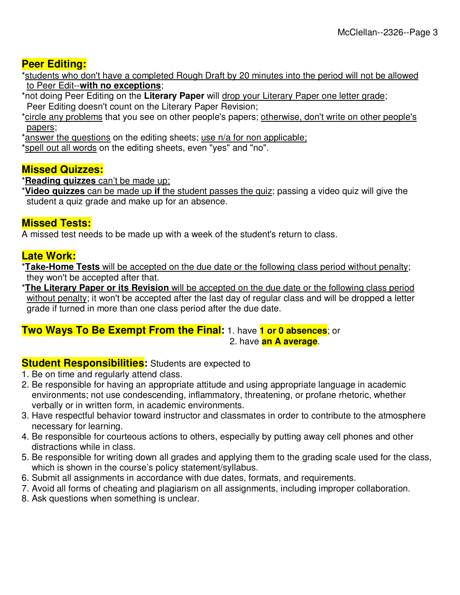# **Peer Editing:**

\*students who don't have a completed Rough Draft by 20 minutes into the period will not be allowed to Peer Edit--**with no exceptions**;

\*not doing Peer Editing on the **Literary Paper** will drop your Literary Paper one letter grade; Peer Editing doesn't count on the Literary Paper Revision;

\*circle any problems that you see on other people's papers; otherwise, don't write on other people's papers;

\*answer the questions on the editing sheets; use n/a for non applicable;

\*spell out all words on the editing sheets, even "yes" and "no".

# **Missed Quizzes:**

\***Reading quizzes** can't be made up;

\***Video quizzes** can be made up **if** the student passes the quiz; passing a video quiz will give the student a quiz grade and make up for an absence.

# **Missed Tests:**

A missed test needs to be made up with a week of the student's return to class.

# **Late Work:**

\***Take-Home Tests** will be accepted on the due date or the following class period without penalty; they won't be accepted after that.

\***The Literary Paper or its Revision** will be accepted on the due date or the following class period without penalty; it won't be accepted after the last day of regular class and will be dropped a letter grade if turned in more than one class period after the due date.

#### **Two Ways To Be Exempt From the Final:** 1. have **1 or 0 absences**; or 2. have **an A average**.

## **Student Responsibilities:** Students are expected to

- 1. Be on time and regularly attend class.
- 2. Be responsible for having an appropriate attitude and using appropriate language in academic environments; not use condescending, inflammatory, threatening, or profane rhetoric, whether verbally or in written form, in academic environments.
- 3. Have respectful behavior toward instructor and classmates in order to contribute to the atmosphere necessary for learning.
- 4. Be responsible for courteous actions to others, especially by putting away cell phones and other distractions while in class.
- 5. Be responsible for writing down all grades and applying them to the grading scale used for the class, which is shown in the course's policy statement/syllabus.
- 6. Submit all assignments in accordance with due dates, formats, and requirements.
- 7. Avoid all forms of cheating and plagiarism on all assignments, including improper collaboration.
- 8. Ask questions when something is unclear.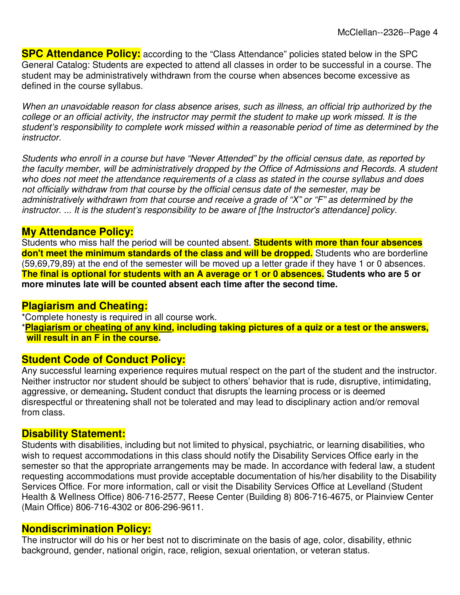**SPC Attendance Policy:** according to the "Class Attendance" policies stated below in the SPC General Catalog: Students are expected to attend all classes in order to be successful in a course. The student may be administratively withdrawn from the course when absences become excessive as defined in the course syllabus.

When an unavoidable reason for class absence arises, such as illness, an official trip authorized by the college or an official activity, the instructor may permit the student to make up work missed. It is the student's responsibility to complete work missed within a reasonable period of time as determined by the instructor.

Students who enroll in a course but have "Never Attended" by the official census date, as reported by the faculty member, will be administratively dropped by the Office of Admissions and Records. A student who does not meet the attendance requirements of a class as stated in the course syllabus and does not officially withdraw from that course by the official census date of the semester, may be administratively withdrawn from that course and receive a grade of "X" or "F" as determined by the instructor. ... It is the student's responsibility to be aware of [the Instructor's attendance] policy.

# **My Attendance Policy:**

Students who miss half the period will be counted absent. **Students with more than four absences**  don't meet the minimum standards of the class and will be dropped. Students who are borderline (59,69,79,89) at the end of the semester will be moved up a letter grade if they have 1 or 0 absences. **The final is optional for students with an A average or 1 or 0 absences. Students who are 5 or more minutes late will be counted absent each time after the second time.**

## **Plagiarism and Cheating:**

\*Complete honesty is required in all course work.

\***Plagiarism or cheating of any kind, including taking pictures of a quiz or a test or the answers, will result in an F in the course.**

# **Student Code of Conduct Policy:**

Any successful learning experience requires mutual respect on the part of the student and the instructor. Neither instructor nor student should be subject to others' behavior that is rude, disruptive, intimidating, aggressive, or demeaning**.** Student conduct that disrupts the learning process or is deemed disrespectful or threatening shall not be tolerated and may lead to disciplinary action and/or removal from class.

# **Disability Statement:**

Students with disabilities, including but not limited to physical, psychiatric, or learning disabilities, who wish to request accommodations in this class should notify the Disability Services Office early in the semester so that the appropriate arrangements may be made. In accordance with federal law, a student requesting accommodations must provide acceptable documentation of his/her disability to the Disability Services Office. For more information, call or visit the Disability Services Office at Levelland (Student Health & Wellness Office) 806-716-2577, Reese Center (Building 8) 806-716-4675, or Plainview Center (Main Office) 806-716-4302 or 806-296-9611.

## **Nondiscrimination Policy:**

The instructor will do his or her best not to discriminate on the basis of age, color, disability, ethnic background, gender, national origin, race, religion, sexual orientation, or veteran status.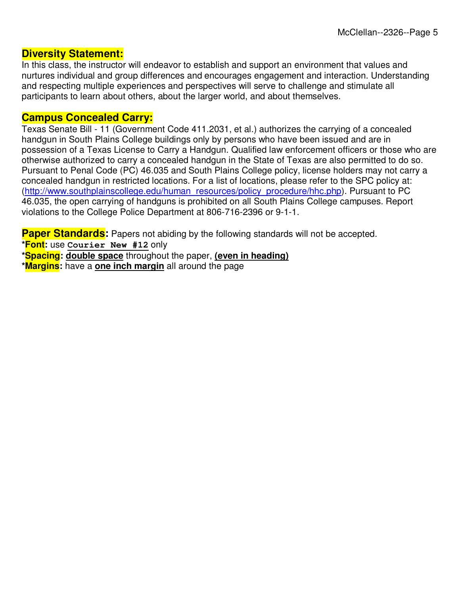#### **Diversity Statement:**

In this class, the instructor will endeavor to establish and support an environment that values and nurtures individual and group differences and encourages engagement and interaction. Understanding and respecting multiple experiences and perspectives will serve to challenge and stimulate all participants to learn about others, about the larger world, and about themselves.

# **Campus Concealed Carry:**

Texas Senate Bill - 11 (Government Code 411.2031, et al.) authorizes the carrying of a concealed handgun in South Plains College buildings only by persons who have been issued and are in possession of a Texas License to Carry a Handgun. Qualified law enforcement officers or those who are otherwise authorized to carry a concealed handgun in the State of Texas are also permitted to do so. Pursuant to Penal Code (PC) 46.035 and South Plains College policy, license holders may not carry a concealed handgun in restricted locations. For a list of locations, please refer to the SPC policy at: (http://www.southplainscollege.edu/human\_resources/policy\_procedure/hhc.php). Pursuant to PC 46.035, the open carrying of handguns is prohibited on all South Plains College campuses. Report violations to the College Police Department at 806-716-2396 or 9-1-1.

**Paper Standards:** Papers not abiding by the following standards will not be accepted.

**\*Font:** use **Courier New #12** only

**\*Spacing: double space** throughout the paper, **(even in heading)**

**\*Margins:** have a **one inch margin** all around the page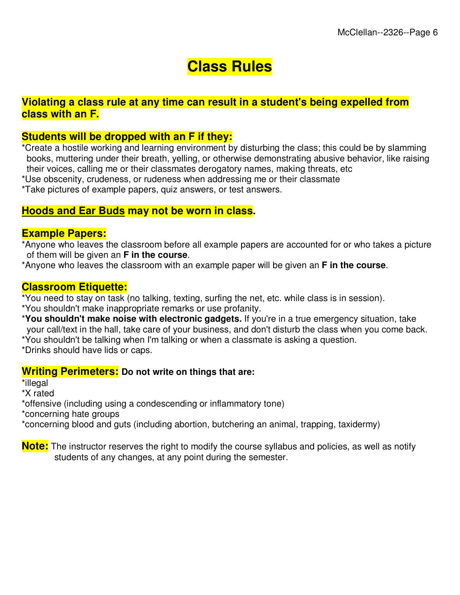# **Class Rules**

# **Violating a class rule at any time can result in a student's being expelled from class with an F.**

## **Students will be dropped with an F if they:**

\*Create a hostile working and learning environment by disturbing the class; this could be by slamming books, muttering under their breath, yelling, or otherwise demonstrating abusive behavior, like raising their voices, calling me or their classmates derogatory names, making threats, etc

\*Use obscenity, crudeness, or rudeness when addressing me or their classmate

\*Take pictures of example papers, quiz answers, or test answers.

#### **Hoods and Ear Buds may not be worn in class.**

#### **Example Papers:**

\*Anyone who leaves the classroom before all example papers are accounted for or who takes a picture of them will be given an **F in the course**.

\*Anyone who leaves the classroom with an example paper will be given an **F in the course**.

#### **Classroom Etiquette:**

\*You need to stay on task (no talking, texting, surfing the net, etc. while class is in session).

- \*You shouldn't make inappropriate remarks or use profanity.
- \***You shouldn't make noise with electronic gadgets.** If you're in a true emergency situation, take your call/text in the hall, take care of your business, and don't disturb the class when you come back.

\*You shouldn't be talking when I'm talking or when a classmate is asking a question.

\*Drinks should have lids or caps.

#### **Writing Perimeters: Do not write on things that are:**

\*illegal

\*X rated

\*offensive (including using a condescending or inflammatory tone)

\*concerning hate groups

\*concerning blood and guts (including abortion, butchering an animal, trapping, taxidermy)

**Note:** The instructor reserves the right to modify the course syllabus and policies, as well as notify students of any changes, at any point during the semester.